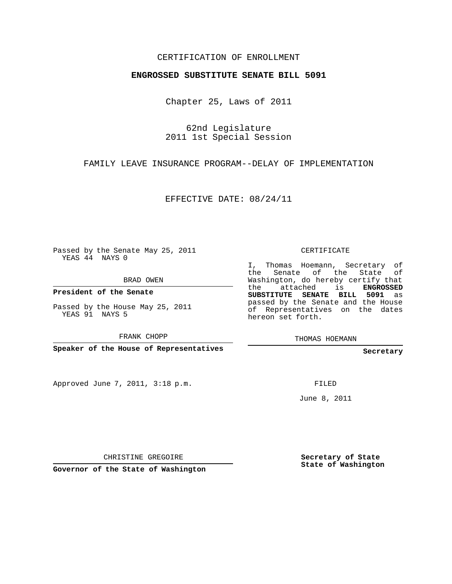## CERTIFICATION OF ENROLLMENT

## **ENGROSSED SUBSTITUTE SENATE BILL 5091**

Chapter 25, Laws of 2011

62nd Legislature 2011 1st Special Session

FAMILY LEAVE INSURANCE PROGRAM--DELAY OF IMPLEMENTATION

EFFECTIVE DATE: 08/24/11

Passed by the Senate May 25, 2011 YEAS 44 NAYS 0

BRAD OWEN

**President of the Senate**

Passed by the House May 25, 2011 YEAS 91 NAYS 5

FRANK CHOPP

**Speaker of the House of Representatives**

Approved June 7, 2011, 3:18 p.m.

CERTIFICATE

I, Thomas Hoemann, Secretary of the Senate of the State of Washington, do hereby certify that the attached is **ENGROSSED SUBSTITUTE SENATE BILL 5091** as passed by the Senate and the House of Representatives on the dates hereon set forth.

THOMAS HOEMANN

**Secretary**

FILED

June 8, 2011

CHRISTINE GREGOIRE

**Governor of the State of Washington**

**Secretary of State State of Washington**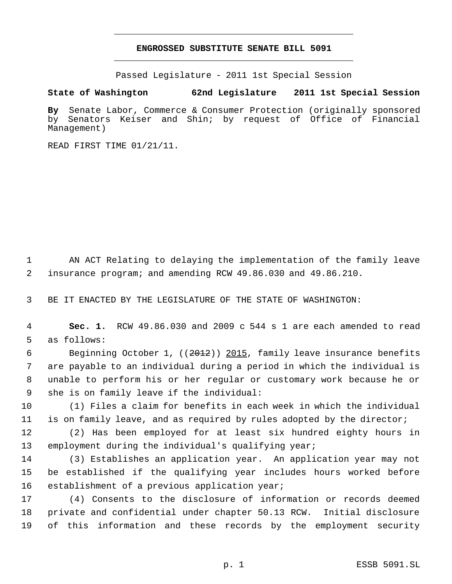## **ENGROSSED SUBSTITUTE SENATE BILL 5091** \_\_\_\_\_\_\_\_\_\_\_\_\_\_\_\_\_\_\_\_\_\_\_\_\_\_\_\_\_\_\_\_\_\_\_\_\_\_\_\_\_\_\_\_\_

\_\_\_\_\_\_\_\_\_\_\_\_\_\_\_\_\_\_\_\_\_\_\_\_\_\_\_\_\_\_\_\_\_\_\_\_\_\_\_\_\_\_\_\_\_

Passed Legislature - 2011 1st Special Session

## **State of Washington 62nd Legislature 2011 1st Special Session**

**By** Senate Labor, Commerce & Consumer Protection (originally sponsored by Senators Keiser and Shin; by request of Office of Financial Management)

READ FIRST TIME 01/21/11.

 1 AN ACT Relating to delaying the implementation of the family leave 2 insurance program; and amending RCW 49.86.030 and 49.86.210.

3 BE IT ENACTED BY THE LEGISLATURE OF THE STATE OF WASHINGTON:

 4 **Sec. 1.** RCW 49.86.030 and 2009 c 544 s 1 are each amended to read 5 as follows:

6 Beginning October 1, ((2012)) 2015, family leave insurance benefits are payable to an individual during a period in which the individual is unable to perform his or her regular or customary work because he or she is on family leave if the individual:

10 (1) Files a claim for benefits in each week in which the individual 11 is on family leave, and as required by rules adopted by the director;

12 (2) Has been employed for at least six hundred eighty hours in 13 employment during the individual's qualifying year;

14 (3) Establishes an application year. An application year may not 15 be established if the qualifying year includes hours worked before 16 establishment of a previous application year;

17 (4) Consents to the disclosure of information or records deemed 18 private and confidential under chapter 50.13 RCW. Initial disclosure 19 of this information and these records by the employment security